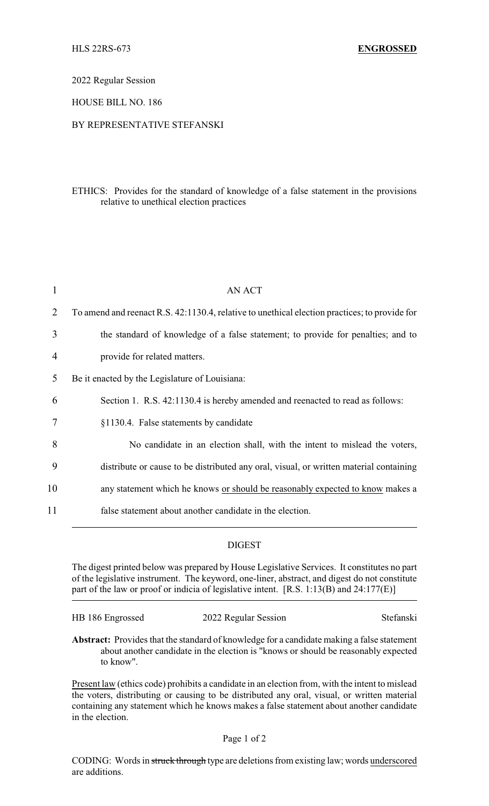2022 Regular Session

HOUSE BILL NO. 186

## BY REPRESENTATIVE STEFANSKI

## ETHICS: Provides for the standard of knowledge of a false statement in the provisions relative to unethical election practices

| 1  | <b>AN ACT</b>                                                                                 |
|----|-----------------------------------------------------------------------------------------------|
| 2  | To amend and reenact R.S. 42:1130.4, relative to unethical election practices; to provide for |
| 3  | the standard of knowledge of a false statement; to provide for penalties; and to              |
| 4  | provide for related matters.                                                                  |
| 5  | Be it enacted by the Legislature of Louisiana:                                                |
| 6  | Section 1. R.S. 42:1130.4 is hereby amended and reenacted to read as follows:                 |
| 7  | §1130.4. False statements by candidate                                                        |
| 8  | No candidate in an election shall, with the intent to mislead the voters,                     |
| 9  | distribute or cause to be distributed any oral, visual, or written material containing        |
| 10 | any statement which he knows or should be reasonably expected to know makes a                 |
| 11 | false statement about another candidate in the election.                                      |

## DIGEST

The digest printed below was prepared by House Legislative Services. It constitutes no part of the legislative instrument. The keyword, one-liner, abstract, and digest do not constitute part of the law or proof or indicia of legislative intent. [R.S. 1:13(B) and 24:177(E)]

HB 186 Engrossed 2022 Regular Session Stefanski

**Abstract:** Provides that the standard of knowledge for a candidate making a false statement about another candidate in the election is "knows or should be reasonably expected to know".

Present law (ethics code) prohibits a candidate in an election from, with the intent to mislead the voters, distributing or causing to be distributed any oral, visual, or written material containing any statement which he knows makes a false statement about another candidate in the election.

## Page 1 of 2

CODING: Words in struck through type are deletions from existing law; words underscored are additions.